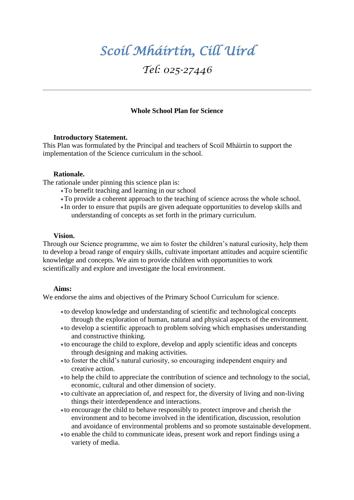# *Scoil Mháirtín, Cill Uird*

# *Tel: 025-27446*

### **Whole School Plan for Science**

#### **Introductory Statement.**

This Plan was formulated by the Principal and teachers of Scoil Mháirtín to support the implementation of the Science curriculum in the school.

#### **Rationale.**

The rationale under pinning this science plan is:

- To benefit teaching and learning in our school
- To provide a coherent approach to the teaching of science across the whole school.
- In order to ensure that pupils are given adequate opportunities to develop skills and understanding of concepts as set forth in the primary curriculum.

#### **Vision.**

Through our Science programme, we aim to foster the children's natural curiosity, help them to develop a broad range of enquiry skills, cultivate important attitudes and acquire scientific knowledge and concepts. We aim to provide children with opportunities to work scientifically and explore and investigate the local environment.

#### **Aims:**

We endorse the aims and objectives of the Primary School Curriculum for science.

- to develop knowledge and understanding of scientific and technological concepts through the exploration of human, natural and physical aspects of the environment.
- to develop a scientific approach to problem solving which emphasises understanding and constructive thinking.
- to encourage the child to explore, develop and apply scientific ideas and concepts through designing and making activities.
- to foster the child's natural curiosity, so encouraging independent enquiry and creative action.
- to help the child to appreciate the contribution of science and technology to the social, economic, cultural and other dimension of society.
- to cultivate an appreciation of, and respect for, the diversity of living and non-living things their interdependence and interactions.
- to encourage the child to behave responsibly to protect improve and cherish the environment and to become involved in the identification, discussion, resolution and avoidance of environmental problems and so promote sustainable development.
- to enable the child to communicate ideas, present work and report findings using a variety of media.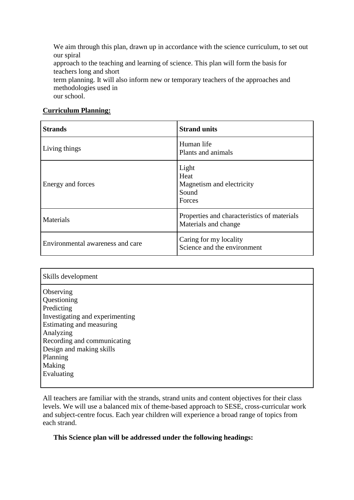We aim through this plan, drawn up in accordance with the science curriculum, to set out our spiral

approach to the teaching and learning of science. This plan will form the basis for teachers long and short

term planning. It will also inform new or temporary teachers of the approaches and methodologies used in

our school.

# **Curriculum Planning:**

| <b>Strands</b>                   | <b>Strand units</b>                                                 |
|----------------------------------|---------------------------------------------------------------------|
| Living things                    | Human life<br>Plants and animals                                    |
| Energy and forces                | Light<br>Heat<br>Magnetism and electricity<br>Sound<br>Forces       |
| Materials                        | Properties and characteristics of materials<br>Materials and change |
| Environmental awareness and care | Caring for my locality<br>Science and the environment               |

| Skills development                                                                                                                                                                                  |
|-----------------------------------------------------------------------------------------------------------------------------------------------------------------------------------------------------|
| Observing<br>Questioning<br>Predicting<br>Investigating and experimenting<br>Estimating and measuring<br>Analyzing<br>Recording and communicating<br>Design and making skills<br>Planning<br>Making |
| Evaluating                                                                                                                                                                                          |

All teachers are familiar with the strands, strand units and content objectives for their class levels. We will use a balanced mix of theme-based approach to SESE, cross-curricular work and subject-centre focus. Each year children will experience a broad range of topics from each strand.

# **This Science plan will be addressed under the following headings:**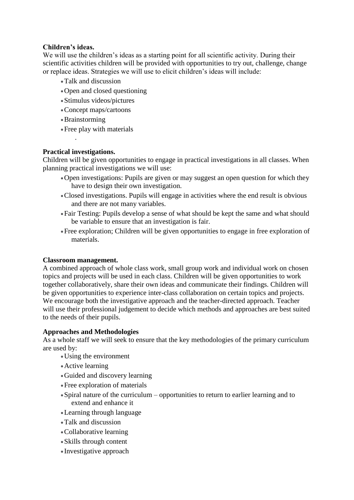# **Children's ideas.**

We will use the children's ideas as a starting point for all scientific activity. During their scientific activities children will be provided with opportunities to try out, challenge, change or replace ideas. Strategies we will use to elicit children's ideas will include:

- Talk and discussion
- Open and closed questioning
- Stimulus videos/pictures
- Concept maps/cartoons
- Brainstorming
- Free play with materials

#### **Practical investigations.**

.

Children will be given opportunities to engage in practical investigations in all classes. When planning practical investigations we will use:

- Open investigations: Pupils are given or may suggest an open question for which they have to design their own investigation.
- Closed investigations. Pupils will engage in activities where the end result is obvious and there are not many variables.
- Fair Testing: Pupils develop a sense of what should be kept the same and what should be variable to ensure that an investigation is fair.
- Free exploration; Children will be given opportunities to engage in free exploration of materials.

#### **Classroom management.**

A combined approach of whole class work, small group work and individual work on chosen topics and projects will be used in each class. Children will be given opportunities to work together collaboratively, share their own ideas and communicate their findings. Children will be given opportunities to experience inter-class collaboration on certain topics and projects. We encourage both the investigative approach and the teacher-directed approach. Teacher will use their professional judgement to decide which methods and approaches are best suited to the needs of their pupils.

#### **Approaches and Methodologies**

As a whole staff we will seek to ensure that the key methodologies of the primary curriculum are used by:

- Using the environment
- Active learning
- Guided and discovery learning
- Free exploration of materials
- Spiral nature of the curriculum opportunities to return to earlier learning and to extend and enhance it
- Learning through language
- Talk and discussion
- Collaborative learning
- Skills through content
- Investigative approach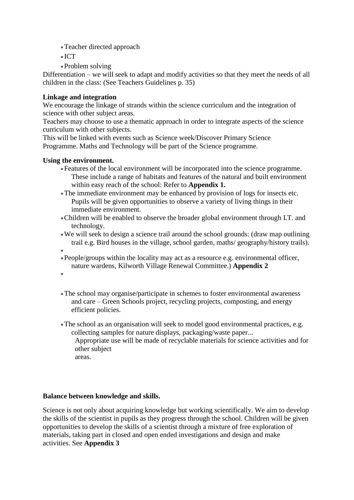- Teacher directed approach
- $\bullet$  ICT
- Problem solving

Differentiation – we will seek to adapt and modify activities so that they meet the needs of all children in the class: (See Teachers Guidelines p. 35)

#### **Linkage and integration**

We encourage the linkage of strands within the science curriculum and the integration of science with other subject areas.

Teachers may choose to use a thematic approach in order to integrate aspects of the science curriculum with other subjects.

This will be linked with events such as Science week/Discover Primary Science Programme. Maths and Technology will be part of the Science programme.

#### **Using the environment.**

- Features of the local environment will be incorporated into the science programme. These include a range of habitats and features of the natural and built environment within easy reach of the school: Refer to **Appendix 1.**
- The immediate environment may be enhanced by provision of logs for insects etc. Pupils will be given opportunities to observe a variety of living things in their immediate environment.
- Children will be enabled to observe the broader global environment through I.T. and technology.
- We will seek to design a science trail around the school grounds: (draw map outlining trail e.g. Bird houses in the village, school garden, maths/ geography/history trails).
- 
- $\bullet$ People/groups within the locality may act as a resource e.g. environmental officer, nature wardens, Kilworth Village Renewal Committee.) **Appendix 2**
- $\bullet$
- The school may organise/participate in schemes to foster environmental awareness and care – Green Schools project, recycling projects, composting, and energy efficient policies.
- The school as an organisation will seek to model good environmental practices, e.g. collecting samples for nature displays, packaging/waste paper...

Appropriate use will be made of recyclable materials for science activities and for other subject

areas.

#### **Balance between knowledge and skills.**

Science is not only about acquiring knowledge but working scientifically. We aim to develop the skills of the scientist in pupils as they progress through the school. Children will be given opportunities to develop the skills of a scientist through a mixture of free exploration of materials, taking part in closed and open ended investigations and design and make activities. See **Appendix 3**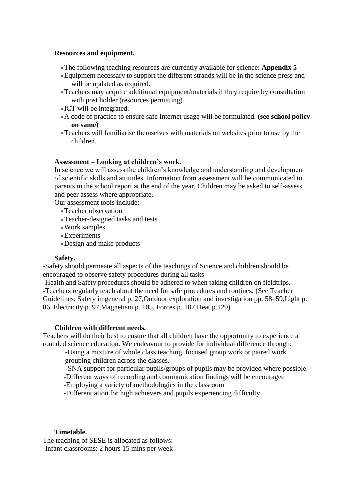#### **Resources and equipment.**

- The following teaching resources are currently available for science: **Appendix 5**
- Equipment necessary to support the different strands will be in the science press and will be updated as required.
- Teachers may acquire additional equipment/materials if they require by consultation with post holder (resources permitting).
- ICT will be integrated.
- A code of practice to ensure safe Internet usage will be formulated. **(see school policy on same)**
- Teachers will familiarise themselves with materials on websites prior to use by the children.

#### **Assessment – Looking at children's work.**

In science we will assess the children's knowledge and understanding and development of scientific skills and attitudes. Information from assessment will be communicated to parents in the school report at the end of the year. Children may be asked to self-assess and peer assess where appropriate.

Our assessment tools include:

- Teacher observation
- Teacher-designed tasks and tests
- Work samples
- Experiments
- Design and make products

#### **Safety.**

-Safety should permeate all aspects of the teachings of Science and children should be encouraged to observe safety procedures during all tasks

-Health and Safety procedures should be adhered to when taking children on fieldtrips. -Teachers regularly teach about the need for safe procedures and routines. (See Teacher Guidelines: Safety in general p. 27,Outdoor exploration and investigation pp. 58–59,Light p. 86, Electricity p. 97,Magnetism p. 105, Forces p. 107,Heat p.129)

#### **Children with different needs.**

Teachers will do their best to ensure that all children have the opportunity to experience a rounded science education. We endeavour to provide for individual difference through:

-Using a mixture of whole class teaching, focused group work or paired work grouping children across the classes.

- SNA support for particular pupils/groups of pupils may be provided where possible.

-Different ways of recording and communication findings will be encouraged

-Employing a variety of methodologies in the classroom

-Differentiation for high achievers and pupils experiencing difficulty.

#### **Timetable.**

The teaching of SESE is allocated as follows: -Infant classrooms: 2 hours 15 mins per week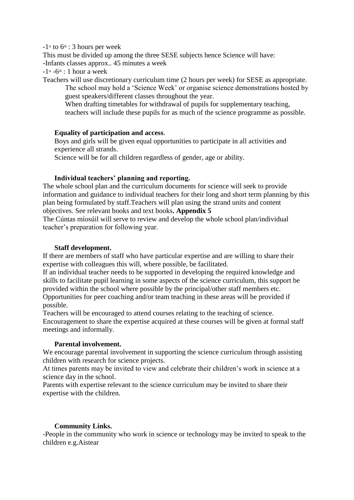$-1$ <sup>st</sup> to  $6$ <sup>th</sup> : 3 hours per week

This must be divided up among the three SESE subjects hence Science will have: -Infants classes approx.. 45 minutes a week

 $-1$ <sup>st</sup>  $-6$ <sup>th</sup> : 1 hour a week

Teachers will use discretionary curriculum time (2 hours per week) for SESE as appropriate. The school may hold a 'Science Week' or organise science demonstrations hosted by guest speakers/different classes throughout the year.

When drafting timetables for withdrawal of pupils for supplementary teaching, teachers will include these pupils for as much of the science programme as possible.

# **Equality of participation and access**.

Boys and girls will be given equal opportunities to participate in all activities and experience all strands.

Science will be for all children regardless of gender, age or ability.

# **Individual teachers' planning and reporting.**

The whole school plan and the curriculum documents for science will seek to provide information and guidance to individual teachers for their long and short term planning by this plan being formulated by staff.Teachers will plan using the strand units and content objectives. See relevant books and text books**. Appendix 5**

The Cúntas míosúil will serve to review and develop the whole school plan/individual teacher's preparation for following year.

#### **Staff development.**

If there are members of staff who have particular expertise and are willing to share their expertise with colleagues this will, where possible, be facilitated.

If an individual teacher needs to be supported in developing the required knowledge and skills to facilitate pupil learning in some aspects of the science curriculum, this support be provided within the school where possible by the principal/other staff members etc. Opportunities for peer coaching and/or team teaching in these areas will be provided if possible.

Teachers will be encouraged to attend courses relating to the teaching of science. Encouragement to share the expertise acquired at these courses will be given at formal staff meetings and informally.

#### **Parental involvement.**

We encourage parental involvement in supporting the science curriculum through assisting children with research for science projects.

At times parents may be invited to view and celebrate their children's work in science at a science day in the school.

Parents with expertise relevant to the science curriculum may be invited to share their expertise with the children.

# **Community Links.**

-People in the community who work in science or technology may be invited to speak to the children e.g.Aistear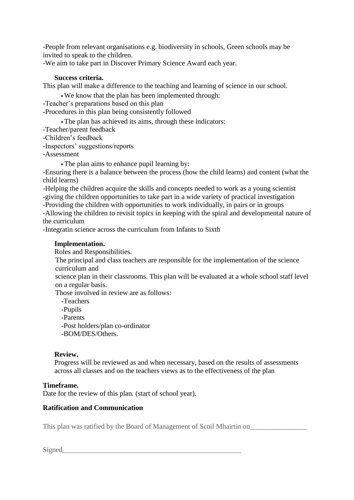-People from relevant organisations e.g. biodiversity in schools, Green schools may be invited to speak to the children.

-We aim to take part in Discover Primary Science Award each year.

#### **Success criteria.**

This plan will make a difference to the teaching and learning of science in our school.

We know that the plan has been implemented through:

-Teacher's preparations based on this plan

-Procedures in this plan being consistently followed

The plan has achieved its aims, through these indicators:

-Teacher/parent feedback

-Children's feedback

-Inspectors' suggestions/reports

-Assessment

The plan aims to enhance pupil learning by:

-Ensuring there is a balance between the process (how the child learns) and content (what the child learns)

-Helping the children acquire the skills and concepts needed to work as a young scientist -giving the children opportunities to take part in a wide variety of practical investigation

-Providing the children with opportunities to work individually, in pairs or in groups

-Allowing the children to revisit topics in keeping with the spiral and developmental nature of the curriculum

-Integratin science across the curriculum from Infants to Sixth

#### **Implementation.**

Roles and Responsibilities.

The principal and class teachers are responsible for the implementation of the science curriculum and

science plan in their classrooms. This plan will be evaluated at a whole school staff level on a regular basis.

Those involved in review are as follows:

-Teachers

-Pupils

-Parents

-Post holders/plan co-ordinator

-BOM/DES/Others.

#### **Review.**

Progress will be reviewed as and when necessary, based on the results of assessments across all classes and on the teachers views as to the effectiveness of the plan

# **Timeframe.**

Date for the review of this plan. (start of school year).

# **Ratification and Communication**

This plan was ratified by the Board of Management of Scoil Mhairtin on\_\_\_\_\_\_\_\_\_\_\_\_\_\_\_\_

Signed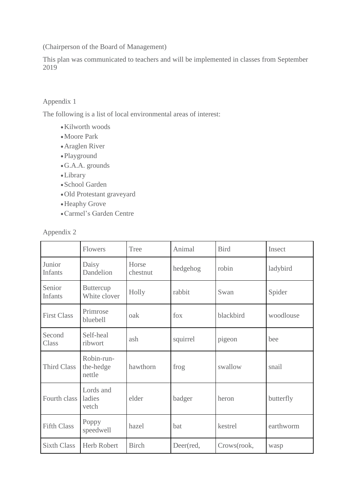(Chairperson of the Board of Management)

This plan was communicated to teachers and will be implemented in classes from September 2019

# Appendix 1

The following is a list of local environmental areas of interest:

- Kilworth woods
- Moore Park
- Araglen River
- Playground
- G.A.A. grounds
- Library
- School Garden
- Old Protestant graveyard
- Heaphy Grove
- Carmel's Garden Centre

| Annengix |  |  |
|----------|--|--|
|----------|--|--|

|                          | Flowers                           | Tree              | Animal    | <b>Bird</b> | Insect    |
|--------------------------|-----------------------------------|-------------------|-----------|-------------|-----------|
| Junior<br><b>Infants</b> | Daisy<br>Dandelion                | Horse<br>chestnut | hedgehog  | robin       | ladybird  |
| Senior<br><b>Infants</b> | <b>Buttercup</b><br>White clover  | Holly             | rabbit    | Swan        | Spider    |
| <b>First Class</b>       | Primrose<br>bluebell              | oak               | fox       | blackbird   | woodlouse |
| Second<br>Class          | Self-heal<br>ribwort              | ash               | squirrel  | pigeon      | bee       |
| <b>Third Class</b>       | Robin-run-<br>the-hedge<br>nettle | hawthorn          | frog      | swallow     | snail     |
| Fourth class             | Lords and<br>ladies<br>vetch      | elder             | badger    | heron       | butterfly |
| <b>Fifth Class</b>       | Poppy<br>speedwell                | hazel             | bat       | kestrel     | earthworm |
| <b>Sixth Class</b>       | <b>Herb Robert</b>                | <b>Birch</b>      | Deer(red, | Crows(rook, | wasp      |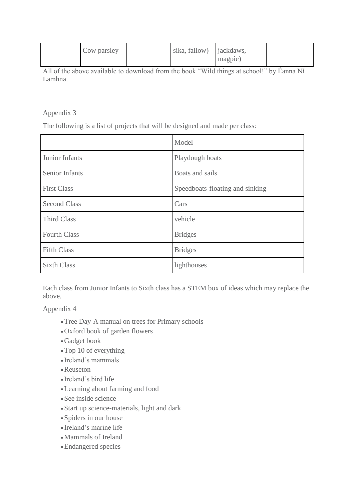| Cow parsley | sika, fallow) <i>jackdaws</i> , |         |  |
|-------------|---------------------------------|---------|--|
|             |                                 | magpie) |  |

All of the above available to download from the book "Wild things at school!" by Éanna Ní Lamhna.

Appendix 3

The following is a list of projects that will be designed and made per class:

|                       | Model                           |
|-----------------------|---------------------------------|
| Junior Infants        | Playdough boats                 |
| <b>Senior Infants</b> | Boats and sails                 |
| <b>First Class</b>    | Speedboats-floating and sinking |
| <b>Second Class</b>   | Cars                            |
| <b>Third Class</b>    | vehicle                         |
| <b>Fourth Class</b>   | <b>Bridges</b>                  |
| <b>Fifth Class</b>    | <b>Bridges</b>                  |
| <b>Sixth Class</b>    | lighthouses                     |

Each class from Junior Infants to Sixth class has a STEM box of ideas which may replace the above.

Appendix 4

- Tree Day-A manual on trees for Primary schools
- Oxford book of garden flowers
- Gadget book
- Top 10 of everything
- Ireland's mammals
- Reuseton
- Ireland's bird life
- Learning about farming and food
- See inside science
- Start up science-materials, light and dark
- Spiders in our house
- Ireland's marine life
- Mammals of Ireland
- Endangered species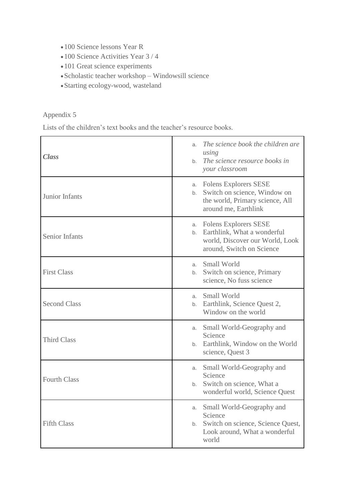- 100 Science lessons Year R
- 100 Science Activities Year 3 / 4
- 101 Great science experiments
- Scholastic teacher workshop Windowsill science
- Starting ecology-wood, wasteland

# Appendix 5

Lists of the children's text books and the teacher's resource books.

| Class                 | The science book the children are<br>a.<br>using<br>The science resource books in<br>b.<br>your classroom                           |
|-----------------------|-------------------------------------------------------------------------------------------------------------------------------------|
| Junior Infants        | <b>Folens Explorers SESE</b><br>a.<br>Switch on science, Window on<br>b.<br>the world, Primary science, All<br>around me, Earthlink |
| <b>Senior Infants</b> | a. Folens Explorers SESE<br>Earthlink, What a wonderful<br>b.<br>world, Discover our World, Look<br>around, Switch on Science       |
| <b>First Class</b>    | Small World<br>a.<br>Switch on science, Primary<br>b.<br>science, No fuss science                                                   |
| <b>Second Class</b>   | a. Small World<br>b. Earthlink, Science Quest 2,<br>Window on the world                                                             |
| <b>Third Class</b>    | Small World-Geography and<br>a.<br>Science<br>b. Earthlink, Window on the World<br>science, Quest 3                                 |
| <b>Fourth Class</b>   | Small World-Geography and<br>a.<br>Science<br>b. Switch on science, What a<br>wonderful world, Science Quest                        |
| <b>Fifth Class</b>    | Small World-Geography and<br>a.<br>Science<br>Switch on science, Science Quest,<br>b.<br>Look around, What a wonderful<br>world     |